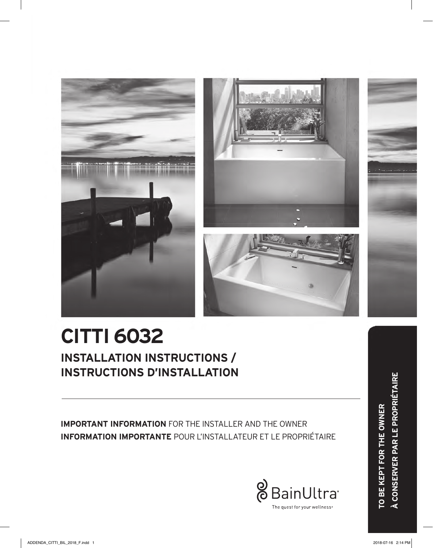



**IMPORTANT INFORMATION** FOR THE INSTALLER AND THE OWNER **INFORMATION IMPORTANTE** POUR L'INSTALLATEUR ET LE PROPRIÉTAIRE

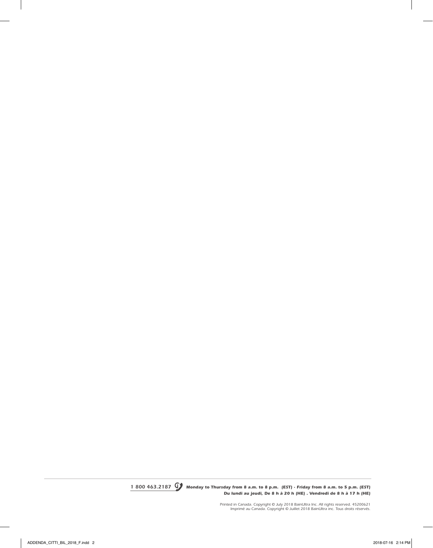*1 800 463.2187 Monday to Thursday from 8 a.m. to 8 p.m. (EST) . Friday from 8 a.m. to 5 p.m. (EST) Du lundi au jeudi, De 8 h à 20 h (HE) . Vendredi de 8 h à 17 h (HE)*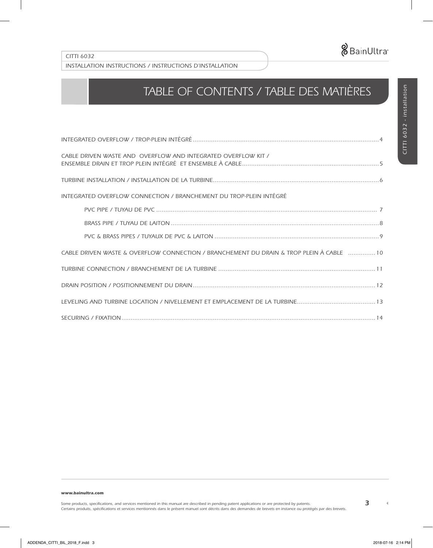

# *TABLE OF CONTENTS / TABLE DES MATIÈRES*

| CABLE DRIVEN WASTE AND OVERFLOW AND INTEGRATED OVERFLOW KIT /                            |
|------------------------------------------------------------------------------------------|
|                                                                                          |
| INTEGRATED OVERFLOW CONNECTION / BRANCHEMENT DU TROP-PLEIN INTÉGRÉ                       |
|                                                                                          |
|                                                                                          |
|                                                                                          |
| CABLE DRIVEN WASTE & OVERFLOW CONNECTION / BRANCHEMENT DU DRAIN & TROP PLEIN À CABLE  10 |
|                                                                                          |
|                                                                                          |
|                                                                                          |
|                                                                                          |

*www.bainultra.com* 

 $\blacktriangleleft$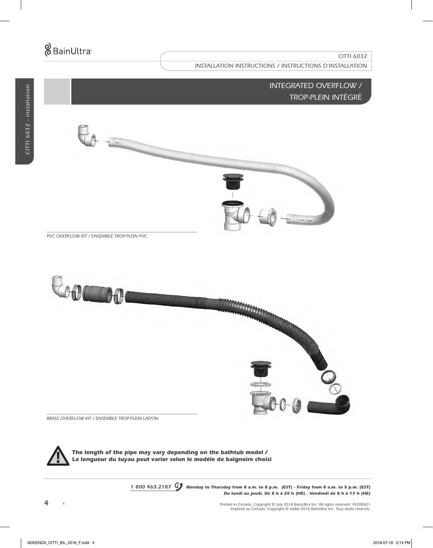### *INTEGRATED OVERFLOW / TROP-PLEIN INTÉGRÉ*

 $\theta + -$ 

*PVC OVERFLOW KIT / ENSEMBLE TROP-PLEIN PVC*



*BRASS OVERFLOW KIT / ENSEMBLE TROP-PLEIN LAITON*



*The length of the pipe may vary depending on the bathtub model / La longueur du tuyau peut varier selon le modèle de baignoire choisi*

> *1 800 463.2187 Monday to Thursday from 8 a.m. to 8 p.m. (EST) . Friday from 8 a.m. to 5 p.m. (EST) Du lundi au jeudi, De 8 h à 20 h (HE) . Vendredi de 8 h à 17 h (HE)*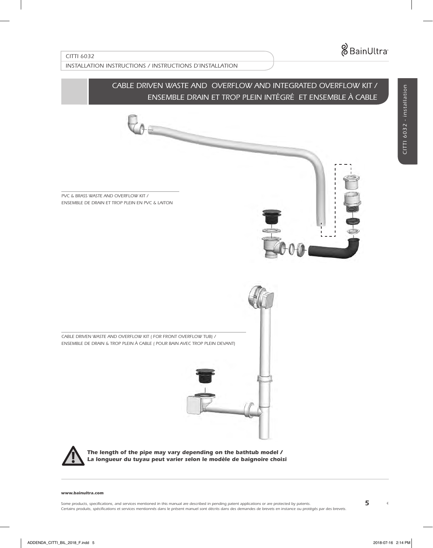*CITTI 6032 - installation*

CITTI 6032 - installation

### *CITTI 6032*

*INSTALLATION INSTRUCTIONS / INSTRUCTIONS D'INSTALLATION*

 $\overline{\phantom{a}}$ 

### *CABLE DRIVEN WASTE AND OVERFLOW AND INTEGRATED OVERFLOW KIT / ENSEMBLE DRAIN ET TROP PLEIN INTÉGRÉ ET ENSEMBLE À CABLE*

*PVC & BRASS WASTE AND OVERFLOW KIT / ENSEMBLE DE DRAIN ET TROP PLEIN EN PVC & LAITON*



*CABLE DRIVEN WASTE AND OVERFLOW KIT ( FOR FRONT OVERFLOW TUB) / ENSEMBLE DE DRAIN & TROP PLEIN À CABLE ( POUR BAIN AVEC TROP PLEIN DEVANT)*





*The length of the pipe may vary depending on the bathtub model / La longueur du tuyau peut varier selon le modèle de baignoire choisi*

#### *www.bainultra.com*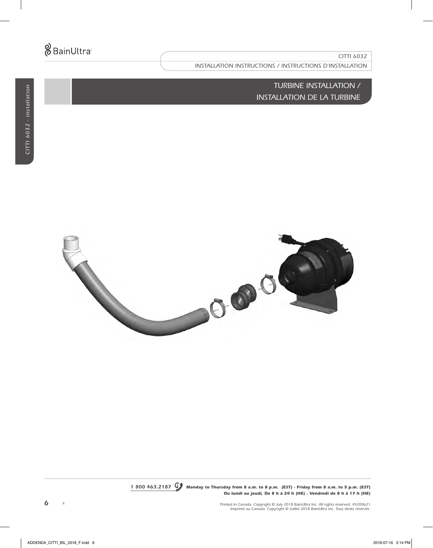*INSTALLATION INSTRUCTIONS / INSTRUCTIONS D'INSTALLATION*

*TURBINE INSTALLATION / INSTALLATION DE LA TURBINE*



*1 800 463.2187 Monday to Thursday from 8 a.m. to 8 p.m. (EST) . Friday from 8 a.m. to 5 p.m. (EST) Du lundi au jeudi, De 8 h à 20 h (HE) . Vendredi de 8 h à 17 h (HE)*

 $\bar{\P}$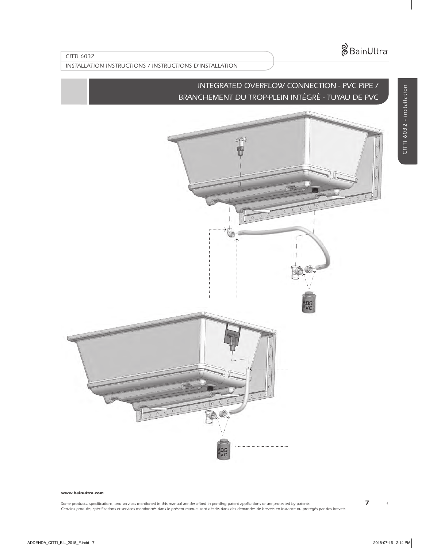*INSTALLATION INSTRUCTIONS / INSTRUCTIONS D'INSTALLATION*

# *INTEGRATED OVERFLOW CONNECTION - PVC PIPE / BRANCHEMENT DU TROP-PLEIN INTÉGRÉ - TUYAU DE PVC*

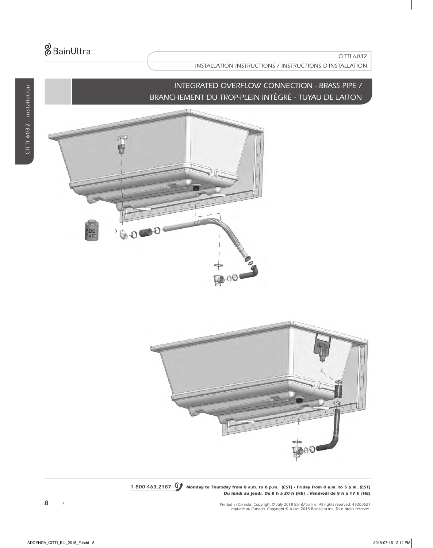# *INTEGRATED OVERFLOW CONNECTION - BRASS PIPE / BRANCHEMENT DU TROP-PLEIN INTÉGRÉ - TUYAU DE LAITON*





*1 800 463.2187 Monday to Thursday from 8 a.m. to 8 p.m. (EST) . Friday from 8 a.m. to 5 p.m. (EST) Du lundi au jeudi, De 8 h à 20 h (HE) . Vendredi de 8 h à 17 h (HE)*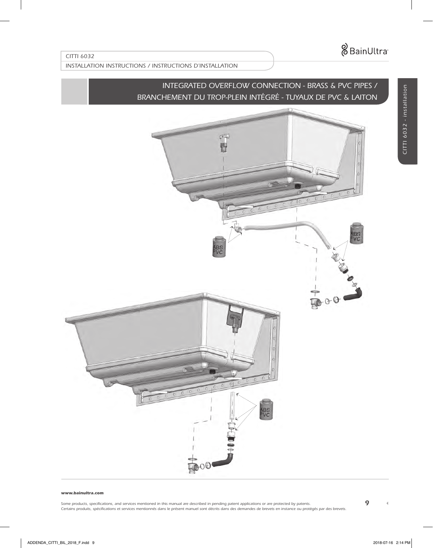*CITTI 6032 - installation*

CITTI 6032 - installation

### *CITTI 6032*

### *INSTALLATION INSTRUCTIONS / INSTRUCTIONS D'INSTALLATION*

# *INTEGRATED OVERFLOW CONNECTION - BRASS & PVC PIPES / BRANCHEMENT DU TROP-PLEIN INTÉGRÉ - TUYAUX DE PVC & LAITON*



#### *www.bainultra.com*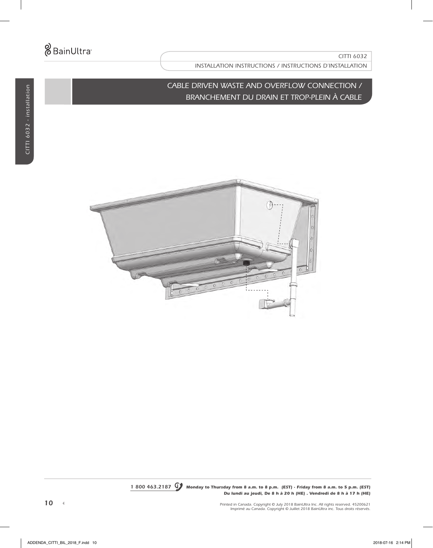## *CABLE DRIVEN WASTE AND OVERFLOW CONNECTION / BRANCHEMENT DU DRAIN ET TROP-PLEIN À CABLE*



*1 800 463.2187 Monday to Thursday from 8 a.m. to 8 p.m. (EST) . Friday from 8 a.m. to 5 p.m. (EST) Du lundi au jeudi, De 8 h à 20 h (HE) . Vendredi de 8 h à 17 h (HE)*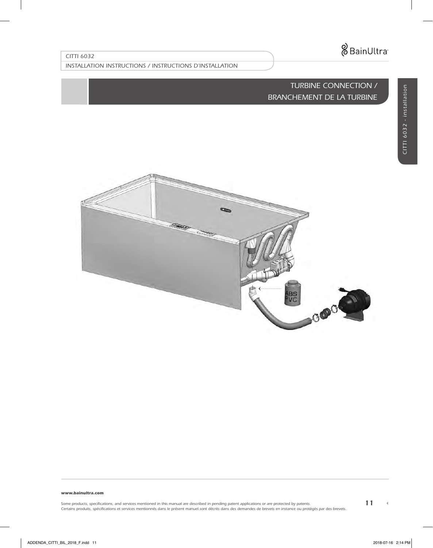*INSTALLATION INSTRUCTIONS / INSTRUCTIONS D'INSTALLATION*

## *TURBINE CONNECTION / BRANCHEMENT DE LA TURBINE*



#### *www.bainultra.com*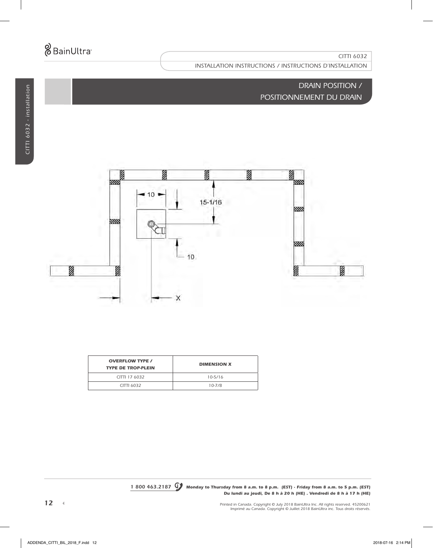# *DRAIN POSITION / POSITIONNEMENT DU DRAIN*



| <b>OVERFLOW TYPE /</b><br><b>TYPE DE TROP-PLEIN</b> | <b>DIMENSION X</b> |
|-----------------------------------------------------|--------------------|
| CITTI 17 6032                                       | $10 - 5/16$        |
| CITTI 6032                                          | $10 - 7/8$         |
|                                                     |                    |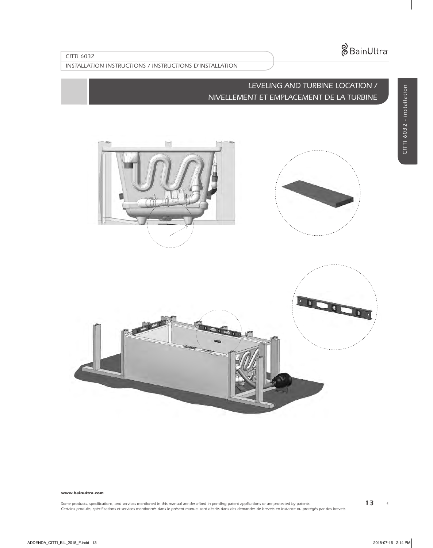*INSTALLATION INSTRUCTIONS / INSTRUCTIONS D'INSTALLATION*

# *LEVELING AND TURBINE LOCATION / NIVELLEMENT ET EMPLACEMENT DE LA TURBINE*







#### *www.bainultra.com*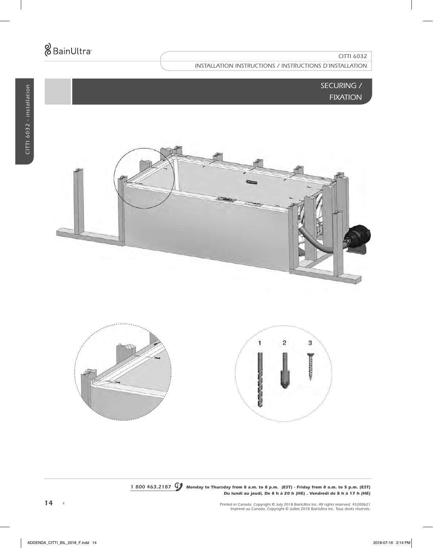## *SECURING / FIXATION*





*1 800 463.2187 Monday to Thursday from 8 a.m. to 8 p.m. (EST) . Friday from 8 a.m. to 5 p.m. (EST) Du lundi au jeudi, De 8 h à 20 h (HE) . Vendredi de 8 h à 17 h (HE)*

*Printed in Canada. Copyright © July 2018 BainUltra Inc. All rights reserved. 45200621 Imprimé au Canada. Copyright © Juillet 2018 BainUltra inc. Tous droits réservés.*